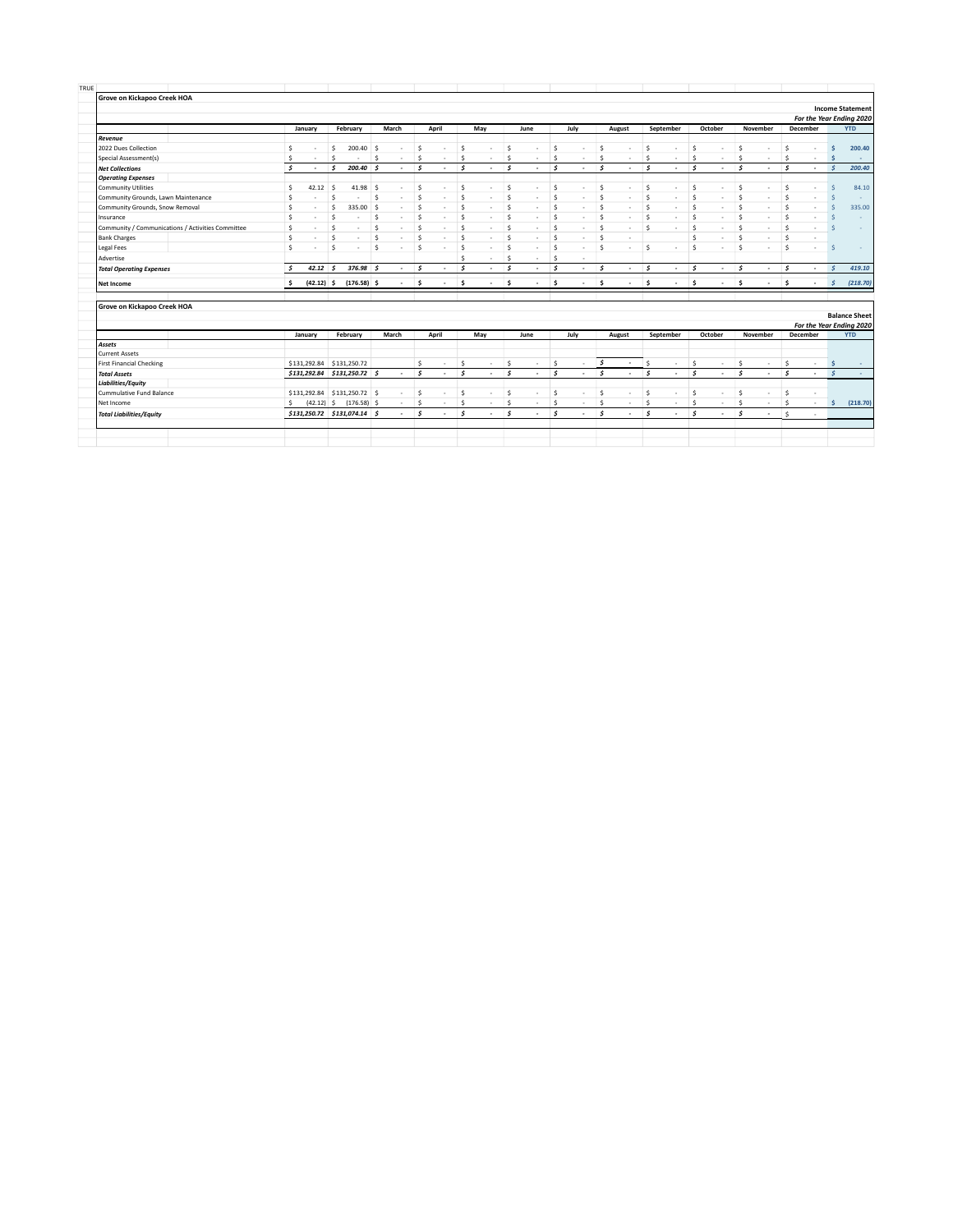| Grove on Kickapoo Creek HOA                                                                                                                                      |                                                   |                      |              |                                                            |            |                                    |                    |                                    |               |             |                    |                          |                    |                                    |               |                          |                   |                                 |               |                                 |                    |                          |                    |                                           |                      |            |
|------------------------------------------------------------------------------------------------------------------------------------------------------------------|---------------------------------------------------|----------------------|--------------|------------------------------------------------------------|------------|------------------------------------|--------------------|------------------------------------|---------------|-------------|--------------------|--------------------------|--------------------|------------------------------------|---------------|--------------------------|-------------------|---------------------------------|---------------|---------------------------------|--------------------|--------------------------|--------------------|-------------------------------------------|----------------------|------------|
|                                                                                                                                                                  |                                                   |                      |              |                                                            |            |                                    |                    |                                    |               |             |                    |                          |                    |                                    |               |                          |                   |                                 |               |                                 |                    |                          |                    | <b>Income Statement</b>                   |                      |            |
|                                                                                                                                                                  |                                                   |                      |              |                                                            |            |                                    |                    |                                    |               |             |                    |                          |                    |                                    |               |                          |                   |                                 |               |                                 |                    |                          |                    | For the Year Ending 2020                  |                      |            |
|                                                                                                                                                                  |                                                   |                      | January      | February                                                   |            | March                              |                    | April                              |               | May         |                    | June                     |                    | July                               |               | August                   |                   | September                       |               | October                         |                    | November                 | <b>December</b>    |                                           |                      | <b>YTD</b> |
| Revenue                                                                                                                                                          |                                                   |                      |              |                                                            |            |                                    |                    |                                    |               |             |                    |                          |                    |                                    |               |                          |                   |                                 |               |                                 |                    |                          |                    |                                           |                      |            |
| 2022 Dues Collection                                                                                                                                             |                                                   | Ś                    | ٠            | 200.40<br>Ś                                                |            | S.<br>$\sim$                       | Ś                  | $\sim$                             | \$            | ٠           | \$                 | $\sim$                   | Ś                  | ٠                                  | Ŝ.            | $\sim$                   | \$                | $\sim$                          | Ś             | $\sim$                          | \$.                | $\sim$                   | Ś                  |                                           | Ś                    | 200.40     |
| Special Assessment(s)                                                                                                                                            |                                                   | Ś                    |              | $\hat{\mathbf{S}}$                                         |            | Ŝ.                                 | Ŝ.                 |                                    | Ś             | ٠           | Ś                  | $\mathbf{r}$             | \$                 | ×.                                 | Ś             | ٠                        | Ŝ.                | $\sim$                          | Ś             | $\sim$                          | Ŝ.                 | $\mathbf{r}$             | \$                 |                                           | Ś                    |            |
| <b>Net Collections</b>                                                                                                                                           |                                                   | $\epsilon$           |              | $\mathbf{s}$<br>$200.40$ \$                                |            |                                    | $\mathbf{s}$       |                                    | Ś             | ٠           | \$.                |                          | $\mathbf{s}$       |                                    | s             | ٠                        | $\mathbf{s}$      | $\overline{\phantom{a}}$        | $\mathbf{s}$  | $\overline{\phantom{a}}$        | $\mathbf{s}$       | $\overline{\phantom{a}}$ | $\mathsf{s}$       | $\mathcal{S}$<br>$\overline{\phantom{a}}$ |                      | 200.40     |
| <b>Operating Expenses</b>                                                                                                                                        |                                                   |                      |              |                                                            |            |                                    |                    |                                    |               |             |                    |                          |                    |                                    |               |                          |                   |                                 |               |                                 |                    |                          |                    |                                           |                      |            |
| <b>Community Utilities</b>                                                                                                                                       |                                                   | Ŝ.                   | $42.12$ \$   |                                                            | $41.98$ \$ | $\sim$                             | Ŝ.                 | ۰.                                 | \$.           | ٠           | Ś                  | $\sim$                   | Ś.                 | $\sim$                             | Ŝ             | ٠                        | Ŝ.                | $\sim$                          | Ŝ.            | $\sim$                          | Ŝ.                 | $\sim$                   | Ŝ                  | $\overline{\phantom{a}}$                  | Š                    | 84.10      |
| Community Grounds, Lawn Maintenance                                                                                                                              |                                                   | Ŝ.                   | ٠            | Ś<br>٠                                                     |            | s.<br>÷.                           | Ŝ.                 |                                    | Ś             | ×.          | Ś                  | ÷.                       | Ś.                 | ÷.                                 | Ś             | ÷.                       | Ŝ.                |                                 | Ŝ.            | ×.                              | Ŝ                  | $\overline{\phantom{a}}$ | $\hat{\mathbf{S}}$ | $\overline{\phantom{a}}$                  | Š                    |            |
| Community Grounds, Snow Removal                                                                                                                                  |                                                   | Ś                    | ٠            | Ś<br>335.00                                                |            | l \$<br>÷.                         | Ŝ.                 | $\overline{\phantom{a}}$           | Ś             | ٠           | Ś                  | ÷.                       | Ś.                 | ÷.                                 | Ś             | ٠                        | s.                | $\sim$                          | $\mathsf{s}$  | ×.                              | Ś                  | $\overline{\phantom{a}}$ | Ŝ.                 | $\overline{\phantom{a}}$                  | $\zeta$              | 335.00     |
| Insurance                                                                                                                                                        |                                                   | Ś                    | ٠            | Ś<br>×                                                     |            | Ŝ.<br>×.                           | Ŝ.                 | $\overline{\phantom{a}}$           | Ś             | ٠           | Ś                  | ٠                        | $\dot{\mathsf{s}}$ | ٠                                  | Ś             | ٠                        | Ś.                | $\sim$                          | $\mathsf{s}$  | ×.                              | Ŝ.                 | $\overline{\phantom{a}}$ | Ś.                 | $\sim$                                    | Š                    |            |
|                                                                                                                                                                  | Community / Communications / Activities Committee | Ś                    | ٠            | Ŝ<br>٠                                                     |            | Š<br>$\sim$                        | Ŝ.                 | ٠                                  | Ś             | ٠           | Ŝ.                 | ٠                        | Ŝ.                 | $\sim$                             | Ś             | ٠                        | Ŝ.                | $\sim$                          | Ŝ.            | $\sim$                          | Ŝ.                 | $\overline{\phantom{a}}$ | Ŝ.                 | $\sim$                                    | Ś                    |            |
| <b>Bank Charges</b>                                                                                                                                              |                                                   | $\hat{\mathbf{S}}$   | ×.           | Š.<br>$\sim$                                               |            | \$<br>$\sim$                       | Š                  | $\sim$                             | Ś             | ٠           | Ś                  | $\mathbf{r}$             | Ś                  | $\sim$                             | Ŝ             | $\mathbf{r}$             |                   |                                 | Ś.            | $\sim$                          | $\hat{\mathbf{S}}$ | $\sim$                   | Ŝ.                 |                                           |                      |            |
| <b>Legal Fees</b>                                                                                                                                                |                                                   | $\hat{\mathbf{S}}$   | ٠            | Š.<br>$\sim$                                               |            | \$                                 | Ś                  | $\sim$                             | Ŝ.            | ٠           | Ś                  | $\sim$                   | Ś                  | ×.                                 | Ŝ             | ٠                        | Ŝ.                |                                 | Š.            | ×.                              | Š.                 | $\sim$                   | $\hat{\mathbf{S}}$ | . .                                       | Ś                    |            |
| Advertise                                                                                                                                                        |                                                   |                      |              |                                                            |            |                                    |                    |                                    | s             | ٠           | Ś                  | $\sim$                   | Ś                  | ×.                                 |               |                          |                   |                                 |               |                                 |                    |                          |                    |                                           |                      |            |
| <b>Total Operating Expenses</b>                                                                                                                                  |                                                   | $\ddot{\phantom{1}}$ | $42.12$ \$   | $376.98$ \$                                                |            | $\sim$                             | s.                 |                                    | $\mathbf{s}$  | ٠           | Ś                  | $\overline{\phantom{a}}$ | $\mathcal{S}$      | $\overline{\phantom{a}}$           | Ś             | $\overline{\phantom{a}}$ | s.                | $\overline{\phantom{a}}$        | s.            | $\sim$                          | $\mathsf{s}$       | $\sim$                   | s.                 |                                           | $\mathcal{S}$        | 419.10     |
|                                                                                                                                                                  |                                                   |                      |              |                                                            |            |                                    |                    |                                    |               |             |                    |                          |                    |                                    |               |                          |                   |                                 |               |                                 |                    |                          |                    |                                           |                      |            |
|                                                                                                                                                                  |                                                   | Ś.                   | $(42.12)$ \$ | $(176.58)$ \$                                              |            | $\sim$                             | ' \$               | $\overline{\phantom{a}}$           | \$.           | ٠           | \$                 |                          | $\mathsf{s}$       | $\overline{\phantom{a}}$           | \$            | ٠                        | \$                |                                 | Ś.            | $\overline{\phantom{a}}$        | \$.                | ٠                        | \$                 |                                           | Ś                    | (218.70)   |
|                                                                                                                                                                  |                                                   |                      |              |                                                            |            |                                    |                    |                                    |               |             |                    |                          |                    |                                    |               |                          |                   |                                 |               |                                 |                    |                          |                    |                                           | <b>Balance Sheet</b> |            |
| <b>Net Income</b><br>Grove on Kickapoo Creek HOA                                                                                                                 |                                                   |                      |              |                                                            |            |                                    |                    |                                    |               |             |                    |                          |                    |                                    |               |                          |                   |                                 |               |                                 |                    |                          |                    | For the Year Ending 2020                  |                      |            |
|                                                                                                                                                                  |                                                   |                      | January      | February                                                   |            | March                              |                    | April                              |               | May         |                    | June                     |                    | July                               |               | August                   |                   | September                       |               | October                         |                    | November                 | <b>December</b>    |                                           |                      |            |
|                                                                                                                                                                  |                                                   |                      |              |                                                            |            |                                    |                    |                                    |               |             |                    |                          |                    |                                    |               |                          |                   |                                 |               |                                 |                    |                          |                    |                                           |                      |            |
| Assets<br><b>Current Assets</b>                                                                                                                                  |                                                   |                      |              |                                                            |            |                                    |                    |                                    |               |             |                    |                          |                    |                                    |               |                          |                   |                                 |               |                                 |                    |                          |                    |                                           |                      | <b>YTD</b> |
|                                                                                                                                                                  |                                                   |                      | \$131,292.84 | \$131,250.72                                               |            |                                    | Ŝ.                 | $\sim$<br>$\overline{\phantom{a}}$ | \$.           | ٠           | Ś                  | $\sim$                   | Ś.                 | $\sim$                             | $\mathfrak s$ | $\sim$                   | Ŝ.                | $\sim$                          | Ŝ.            | $\sim$                          | Ŝ.                 | $\sim$                   | \$                 | $\sim$                                    | Ś                    |            |
|                                                                                                                                                                  |                                                   |                      | \$131,292.84 | $$131,250.72$ \$                                           |            | $\sim$                             | s.                 |                                    | $\mathcal{S}$ | ٠           | $\mathsf{s}$       | $\overline{\phantom{a}}$ | $\mathsf{s}$       | $\sim$                             | l s           | ٠                        | $\mathsf{s}$      | $\overline{\phantom{a}}$        | $\mathcal{S}$ | $\sim$                          | $\mathsf{s}$       | $\overline{\phantom{a}}$ | s.                 | $\mathcal{S}$<br>$\sim$                   |                      |            |
|                                                                                                                                                                  |                                                   |                      |              |                                                            |            |                                    |                    | $\overline{\phantom{a}}$           |               | ٠           |                    |                          |                    |                                    |               | $\mathbf{r}$             |                   |                                 |               | $\sim$                          |                    |                          |                    | $\overline{\phantom{a}}$                  |                      |            |
|                                                                                                                                                                  |                                                   |                      | \$131,292.84 | \$131,250.72 \$                                            |            | $\sim$                             | Ŝ.                 |                                    | Ŝ.            |             | Ŝ.                 |                          | Ś.                 | $\sim$                             | Ŝ.            |                          | Ŝ.                |                                 | Ś.            |                                 | Ŝ.                 | $\sim$                   | Ŝ.                 |                                           |                      |            |
| <b>First Financial Checking</b><br><b>Total Assets</b><br><b>Liabilities/Equity</b><br>Cummulative Fund Balance<br>Net Income<br><b>Total Liabilities/Equity</b> |                                                   | Ŝ.                   |              | $(42.12)$ \$ $(176.58)$ \$<br>\$131,250.72 \$131,074.14 \$ |            | $\sim$<br>$\overline{\phantom{a}}$ | Ŝ.<br>$\mathbf{s}$ | $\sim$                             | Ŝ<br>Ś        | $\sim$<br>٠ | \$<br>$\mathbf{s}$ | $\sim$<br>٠              | Ś<br>Ś             | $\sim$<br>$\overline{\phantom{a}}$ | Ŝ.<br>Ś       | $\sim$<br>٠              | ŝ<br>$\mathbf{s}$ | $\sim$<br>$\tilde{\phantom{a}}$ | Ś<br>$\sim$ 5 | $\sim$<br>$\tilde{\phantom{a}}$ | Ŝ<br>Ś             | $\sim$<br>٠              | Ŝ<br>Ŝ.            | $\sim$                                    | <b>S</b>             | (218.70)   |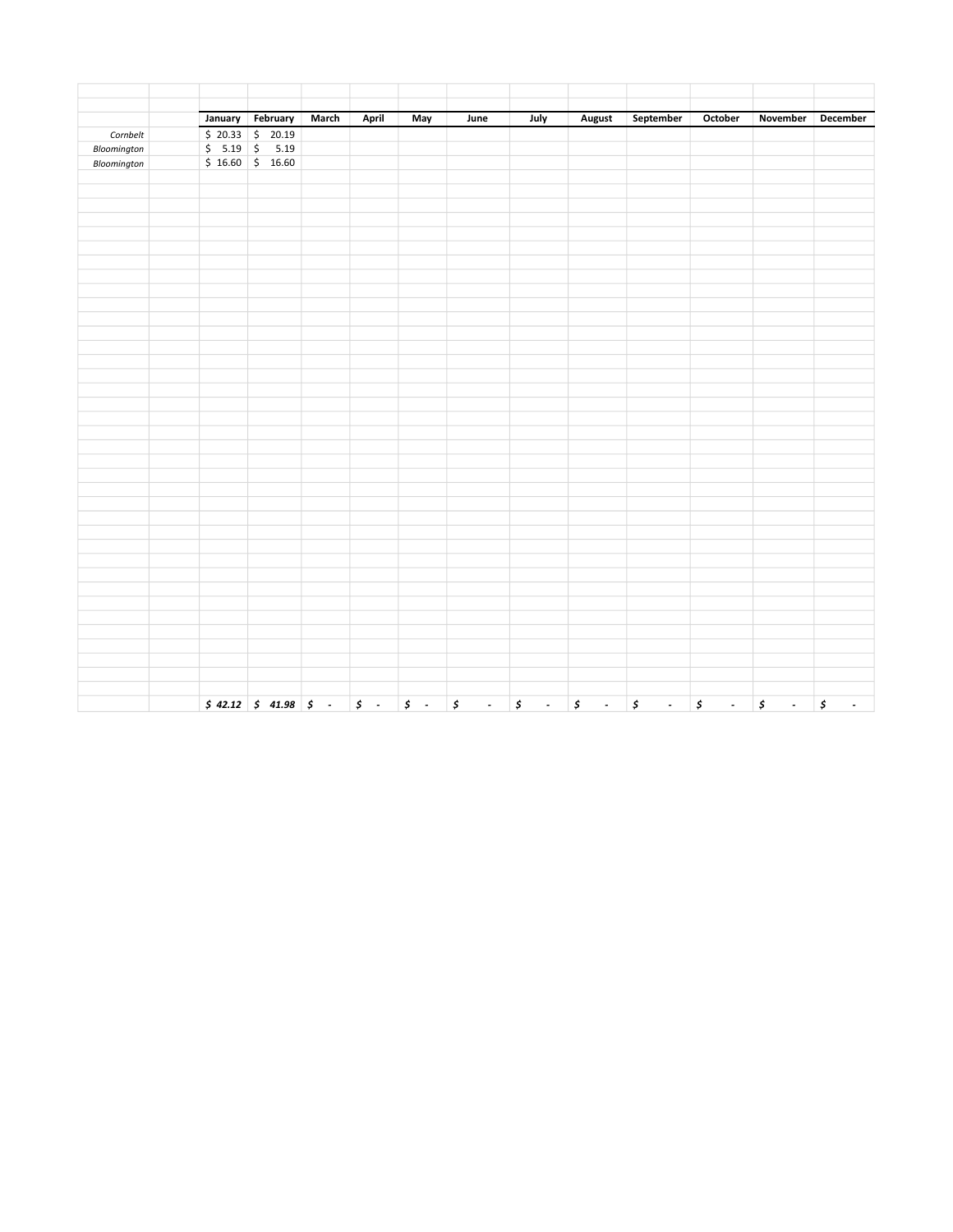|             | January February                                                                                                                         | March | April            | May              | June                                  | July                                     | August                         | September                     | October                                    | November                       | December   |
|-------------|------------------------------------------------------------------------------------------------------------------------------------------|-------|------------------|------------------|---------------------------------------|------------------------------------------|--------------------------------|-------------------------------|--------------------------------------------|--------------------------------|------------|
| Cornbelt    |                                                                                                                                          |       |                  |                  |                                       |                                          |                                |                               |                                            |                                |            |
| Bloomington | $\begin{array}{ c c c c c }\n\hline\n\text{$& 20.33 & $\text{\$& 20.19}$} \\ \text{\$& 5.19 & $\text{\$& 5.19}$} \\ \hline\n\end{array}$ |       |                  |                  |                                       |                                          |                                |                               |                                            |                                |            |
| Bloomington | $$16.60$ $$16.60$                                                                                                                        |       |                  |                  |                                       |                                          |                                |                               |                                            |                                |            |
|             |                                                                                                                                          |       |                  |                  |                                       |                                          |                                |                               |                                            |                                |            |
|             |                                                                                                                                          |       |                  |                  |                                       |                                          |                                |                               |                                            |                                |            |
|             |                                                                                                                                          |       |                  |                  |                                       |                                          |                                |                               |                                            |                                |            |
|             |                                                                                                                                          |       |                  |                  |                                       |                                          |                                |                               |                                            |                                |            |
|             |                                                                                                                                          |       |                  |                  |                                       |                                          |                                |                               |                                            |                                |            |
|             |                                                                                                                                          |       |                  |                  |                                       |                                          |                                |                               |                                            |                                |            |
|             |                                                                                                                                          |       |                  |                  |                                       |                                          |                                |                               |                                            |                                |            |
|             |                                                                                                                                          |       |                  |                  |                                       |                                          |                                |                               |                                            |                                |            |
|             |                                                                                                                                          |       |                  |                  |                                       |                                          |                                |                               |                                            |                                |            |
|             |                                                                                                                                          |       |                  |                  |                                       |                                          |                                |                               |                                            |                                |            |
|             |                                                                                                                                          |       |                  |                  |                                       |                                          |                                |                               |                                            |                                |            |
|             |                                                                                                                                          |       |                  |                  |                                       |                                          |                                |                               |                                            |                                |            |
|             |                                                                                                                                          |       |                  |                  |                                       |                                          |                                |                               |                                            |                                |            |
|             |                                                                                                                                          |       |                  |                  |                                       |                                          |                                |                               |                                            |                                |            |
|             |                                                                                                                                          |       |                  |                  |                                       |                                          |                                |                               |                                            |                                |            |
|             |                                                                                                                                          |       |                  |                  |                                       |                                          |                                |                               |                                            |                                |            |
|             |                                                                                                                                          |       |                  |                  |                                       |                                          |                                |                               |                                            |                                |            |
|             |                                                                                                                                          |       |                  |                  |                                       |                                          |                                |                               |                                            |                                |            |
|             |                                                                                                                                          |       |                  |                  |                                       |                                          |                                |                               |                                            |                                |            |
|             |                                                                                                                                          |       |                  |                  |                                       |                                          |                                |                               |                                            |                                |            |
|             |                                                                                                                                          |       |                  |                  |                                       |                                          |                                |                               |                                            |                                |            |
|             |                                                                                                                                          |       |                  |                  |                                       |                                          |                                |                               |                                            |                                |            |
|             |                                                                                                                                          |       |                  |                  |                                       |                                          |                                |                               |                                            |                                |            |
|             |                                                                                                                                          |       |                  |                  |                                       |                                          |                                |                               |                                            |                                |            |
|             |                                                                                                                                          |       |                  |                  |                                       |                                          |                                |                               |                                            |                                |            |
|             |                                                                                                                                          |       |                  |                  |                                       |                                          |                                |                               |                                            |                                |            |
|             |                                                                                                                                          |       |                  |                  |                                       |                                          |                                |                               |                                            |                                |            |
|             |                                                                                                                                          |       |                  |                  |                                       |                                          |                                |                               |                                            |                                |            |
|             |                                                                                                                                          |       |                  |                  |                                       |                                          |                                |                               |                                            |                                |            |
|             |                                                                                                                                          |       |                  |                  |                                       |                                          |                                |                               |                                            |                                |            |
|             |                                                                                                                                          |       |                  |                  |                                       |                                          |                                |                               |                                            |                                |            |
|             |                                                                                                                                          |       |                  |                  |                                       |                                          |                                |                               |                                            |                                |            |
|             |                                                                                                                                          |       |                  |                  |                                       |                                          |                                |                               |                                            |                                |            |
|             |                                                                                                                                          |       |                  |                  |                                       |                                          |                                |                               |                                            |                                |            |
|             |                                                                                                                                          |       |                  |                  |                                       |                                          |                                |                               |                                            |                                |            |
|             |                                                                                                                                          |       |                  |                  |                                       |                                          |                                |                               |                                            |                                |            |
|             | $$42.12 \quad $41.98 \quad $.$                                                                                                           |       | $\mathfrak{s}$ . | $\mathfrak{s}$ . | $\mathfrak{s}$<br>$\omega_{\rm{eff}}$ | $\pmb{\mathcal{S}}$<br>$\sim$ 100 $\sim$ | $\mathfrak{s}$<br>$\mathbb{Z}$ | $\pmb{\zeta}$<br>$\mathbb{Z}$ | $\pmb{\zeta}$<br>$\mathbb{Z}^{\mathbb{Z}}$ | $\pmb{\zeta}$<br>$\mathcal{L}$ | $\sharp$ . |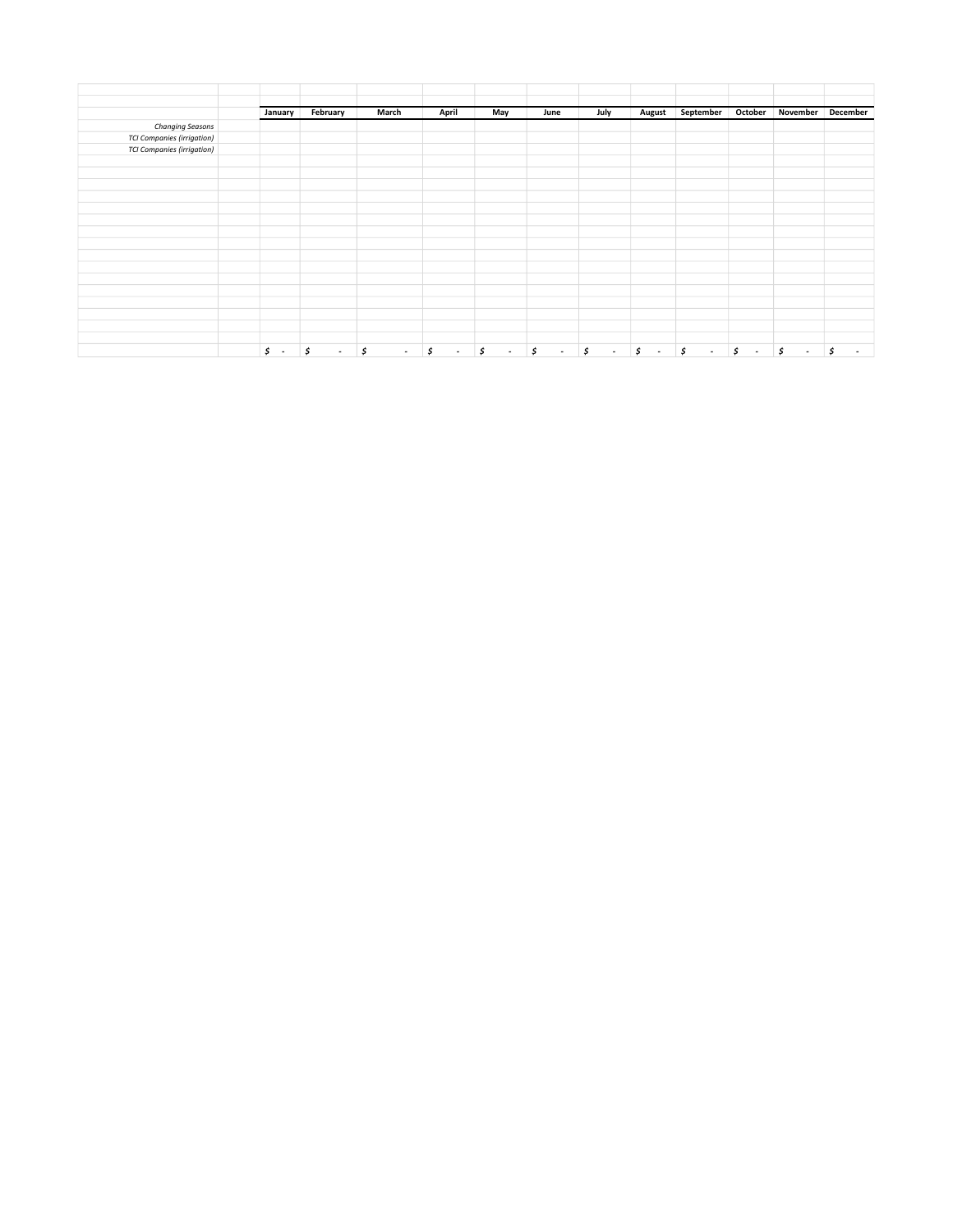|                                   | January                        | February                       | March        | April                          | May                            | June                           | July                           | <b>August</b>                  | September                      | October                        |                                | November December |
|-----------------------------------|--------------------------------|--------------------------------|--------------|--------------------------------|--------------------------------|--------------------------------|--------------------------------|--------------------------------|--------------------------------|--------------------------------|--------------------------------|-------------------|
| Changing Seasons                  |                                |                                |              |                                |                                |                                |                                |                                |                                |                                |                                |                   |
| <b>TCI Companies (irrigation)</b> |                                |                                |              |                                |                                |                                |                                |                                |                                |                                |                                |                   |
| <b>TCI Companies (irrigation)</b> |                                |                                |              |                                |                                |                                |                                |                                |                                |                                |                                |                   |
|                                   |                                |                                |              |                                |                                |                                |                                |                                |                                |                                |                                |                   |
|                                   |                                |                                |              |                                |                                |                                |                                |                                |                                |                                |                                |                   |
|                                   |                                |                                |              |                                |                                |                                |                                |                                |                                |                                |                                |                   |
|                                   |                                |                                |              |                                |                                |                                |                                |                                |                                |                                |                                |                   |
|                                   |                                |                                |              |                                |                                |                                |                                |                                |                                |                                |                                |                   |
|                                   |                                |                                |              |                                |                                |                                |                                |                                |                                |                                |                                |                   |
|                                   |                                |                                |              |                                |                                |                                |                                |                                |                                |                                |                                |                   |
|                                   |                                |                                |              |                                |                                |                                |                                |                                |                                |                                |                                |                   |
|                                   |                                |                                |              |                                |                                |                                |                                |                                |                                |                                |                                |                   |
|                                   |                                |                                |              |                                |                                |                                |                                |                                |                                |                                |                                |                   |
|                                   |                                |                                |              |                                |                                |                                |                                |                                |                                |                                |                                |                   |
|                                   |                                |                                |              |                                |                                |                                |                                |                                |                                |                                |                                |                   |
|                                   |                                |                                |              |                                |                                |                                |                                |                                |                                |                                |                                |                   |
|                                   |                                |                                |              |                                |                                |                                |                                |                                |                                |                                |                                |                   |
|                                   |                                |                                |              |                                |                                |                                |                                |                                |                                |                                |                                |                   |
|                                   | \$<br>$\overline{\phantom{a}}$ | \$<br>$\overline{\phantom{a}}$ | \$<br>$\sim$ | \$<br>$\overline{\phantom{a}}$ | \$<br>$\overline{\phantom{a}}$ | \$<br>$\overline{\phantom{a}}$ | \$<br>$\overline{\phantom{a}}$ | \$<br>$\overline{\phantom{a}}$ | \$<br>$\overline{\phantom{a}}$ | \$<br>$\overline{\phantom{a}}$ | \$<br>$\overline{\phantom{a}}$ | \$<br>٠           |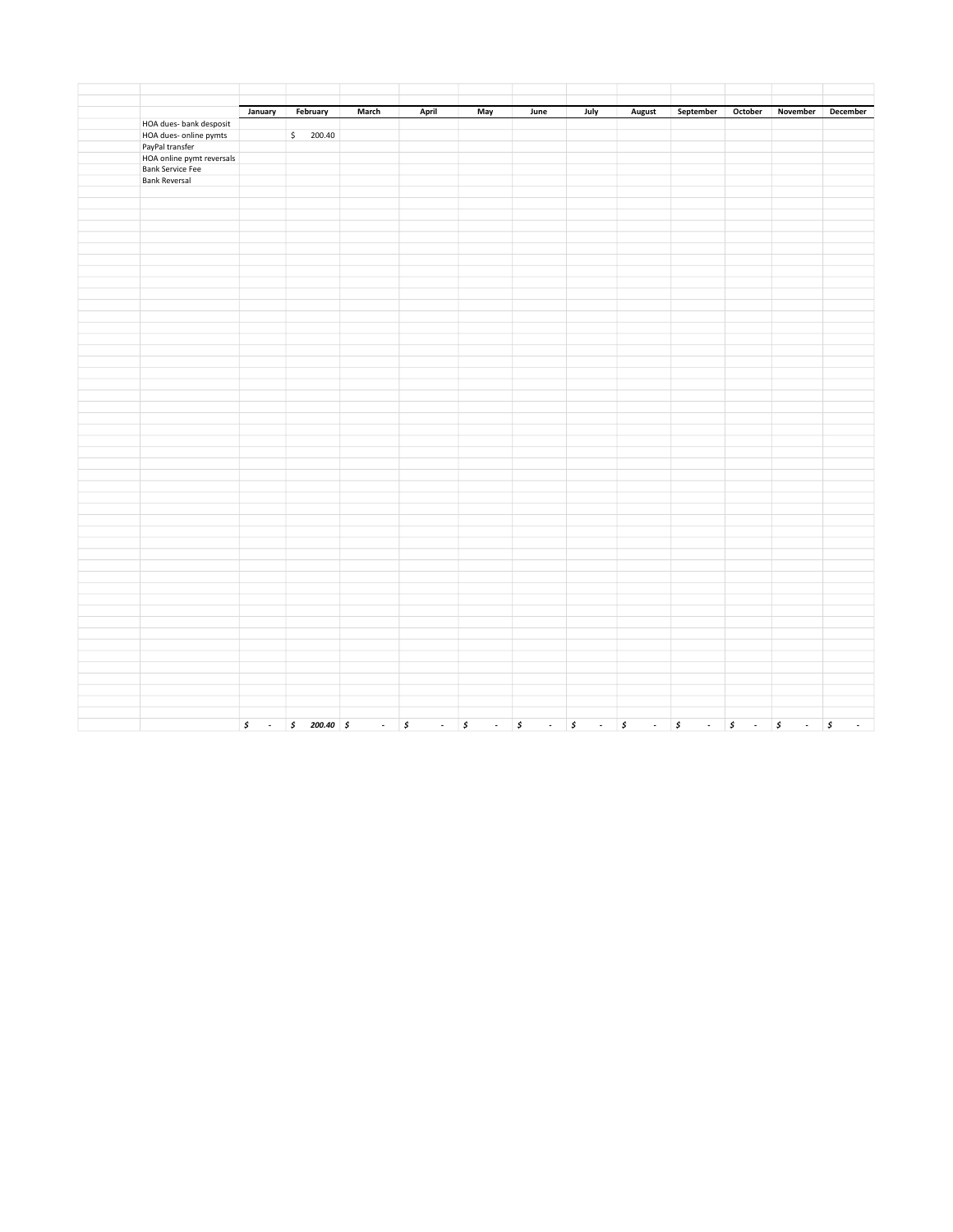|                                              |                  |              | March       |           |                                            | June                       |                                         |            |                     | October                       | November                                                                 | December |
|----------------------------------------------|------------------|--------------|-------------|-----------|--------------------------------------------|----------------------------|-----------------------------------------|------------|---------------------|-------------------------------|--------------------------------------------------------------------------|----------|
|                                              | January          | February     |             | April     | May                                        |                            | July                                    | August     | September           |                               |                                                                          |          |
| HOA dues- bank desposit                      |                  | \$200.40     |             |           |                                            |                            |                                         |            |                     |                               |                                                                          |          |
| HOA dues- online pymts                       |                  |              |             |           |                                            |                            |                                         |            |                     |                               |                                                                          |          |
| PayPal transfer<br>HOA online pymt reversals |                  |              |             |           |                                            |                            |                                         |            |                     |                               |                                                                          |          |
| <b>Bank Service Fee</b>                      |                  |              |             |           |                                            |                            |                                         |            |                     |                               |                                                                          |          |
| <b>Bank Reversal</b>                         |                  |              |             |           |                                            |                            |                                         |            |                     |                               |                                                                          |          |
|                                              |                  |              |             |           |                                            |                            |                                         |            |                     |                               |                                                                          |          |
|                                              |                  |              |             |           |                                            |                            |                                         |            |                     |                               |                                                                          |          |
|                                              |                  |              |             |           |                                            |                            |                                         |            |                     |                               |                                                                          |          |
|                                              |                  |              |             |           |                                            |                            |                                         |            |                     |                               |                                                                          |          |
|                                              |                  |              |             |           |                                            |                            |                                         |            |                     |                               |                                                                          |          |
|                                              |                  |              |             |           |                                            |                            |                                         |            |                     |                               |                                                                          |          |
|                                              |                  |              |             |           |                                            |                            |                                         |            |                     |                               |                                                                          |          |
|                                              |                  |              |             |           |                                            |                            |                                         |            |                     |                               |                                                                          |          |
|                                              |                  |              |             |           |                                            |                            |                                         |            |                     |                               |                                                                          |          |
|                                              |                  |              |             |           |                                            |                            |                                         |            |                     |                               |                                                                          |          |
|                                              |                  |              |             |           |                                            |                            |                                         |            |                     |                               |                                                                          |          |
|                                              |                  |              |             |           |                                            |                            |                                         |            |                     |                               |                                                                          |          |
|                                              |                  |              |             |           |                                            |                            |                                         |            |                     |                               |                                                                          |          |
|                                              |                  |              |             |           |                                            |                            |                                         |            |                     |                               |                                                                          |          |
|                                              |                  |              |             |           |                                            |                            |                                         |            |                     |                               |                                                                          |          |
|                                              |                  |              |             |           |                                            |                            |                                         |            |                     |                               |                                                                          |          |
|                                              |                  |              |             |           |                                            |                            |                                         |            |                     |                               |                                                                          |          |
|                                              |                  |              |             |           |                                            |                            |                                         |            |                     |                               |                                                                          |          |
|                                              |                  |              |             |           |                                            |                            |                                         |            |                     |                               |                                                                          |          |
|                                              |                  |              |             |           |                                            |                            |                                         |            |                     |                               |                                                                          |          |
|                                              |                  |              |             |           |                                            |                            |                                         |            |                     |                               |                                                                          |          |
|                                              |                  |              |             |           |                                            |                            |                                         |            |                     |                               |                                                                          |          |
|                                              |                  |              |             |           |                                            |                            |                                         |            |                     |                               |                                                                          |          |
|                                              |                  |              |             |           |                                            |                            |                                         |            |                     |                               |                                                                          |          |
|                                              |                  |              |             |           |                                            |                            |                                         |            |                     |                               |                                                                          |          |
|                                              |                  |              |             |           |                                            |                            |                                         |            |                     |                               |                                                                          |          |
|                                              |                  |              |             |           |                                            |                            |                                         |            |                     |                               |                                                                          |          |
|                                              |                  |              |             |           |                                            |                            |                                         |            |                     |                               |                                                                          |          |
|                                              |                  |              |             |           |                                            |                            |                                         |            |                     |                               |                                                                          |          |
|                                              |                  |              |             |           |                                            |                            |                                         |            |                     |                               |                                                                          |          |
|                                              |                  |              |             |           |                                            |                            |                                         |            |                     |                               |                                                                          |          |
|                                              |                  |              |             |           |                                            |                            |                                         |            |                     |                               |                                                                          |          |
|                                              |                  |              |             |           |                                            |                            |                                         |            |                     |                               |                                                                          |          |
|                                              |                  |              |             |           |                                            |                            |                                         |            |                     |                               |                                                                          |          |
|                                              |                  |              |             |           |                                            |                            |                                         |            |                     |                               |                                                                          |          |
|                                              |                  |              |             |           |                                            |                            |                                         |            |                     |                               |                                                                          |          |
|                                              |                  |              |             |           |                                            |                            |                                         |            |                     |                               |                                                                          |          |
|                                              |                  |              |             |           |                                            |                            |                                         |            |                     |                               |                                                                          |          |
|                                              |                  |              |             |           |                                            |                            |                                         |            |                     |                               |                                                                          |          |
|                                              |                  |              |             |           |                                            |                            |                                         |            |                     |                               |                                                                          |          |
|                                              |                  |              |             |           |                                            |                            |                                         |            |                     |                               |                                                                          |          |
|                                              |                  |              |             |           |                                            |                            |                                         |            |                     |                               |                                                                          |          |
|                                              |                  |              |             |           |                                            |                            |                                         |            |                     |                               |                                                                          |          |
|                                              |                  |              |             |           |                                            |                            |                                         |            |                     |                               |                                                                          |          |
|                                              |                  |              |             |           |                                            |                            |                                         |            |                     |                               |                                                                          |          |
|                                              |                  |              |             |           |                                            |                            |                                         |            |                     |                               |                                                                          |          |
|                                              | $\mathfrak{s}$ . | $$200.40$ \$ | $ \sqrt{5}$ | $\sim 10$ | $\pmb{\mathcal{S}}$<br>$\omega_{\rm{eff}}$ | $\boldsymbol{\mathcal{S}}$ | $\cdot$ $\cdot$ $\cdot$ $\cdot$ $\cdot$ | $\cdot$ \$ | $\omega_{\rm{eff}}$ | \$<br>$\sim 100$ km s $^{-1}$ | $\begin{array}{ccc} \mathsf{s} & \cdot & \mathsf{s} & \cdot \end{array}$ |          |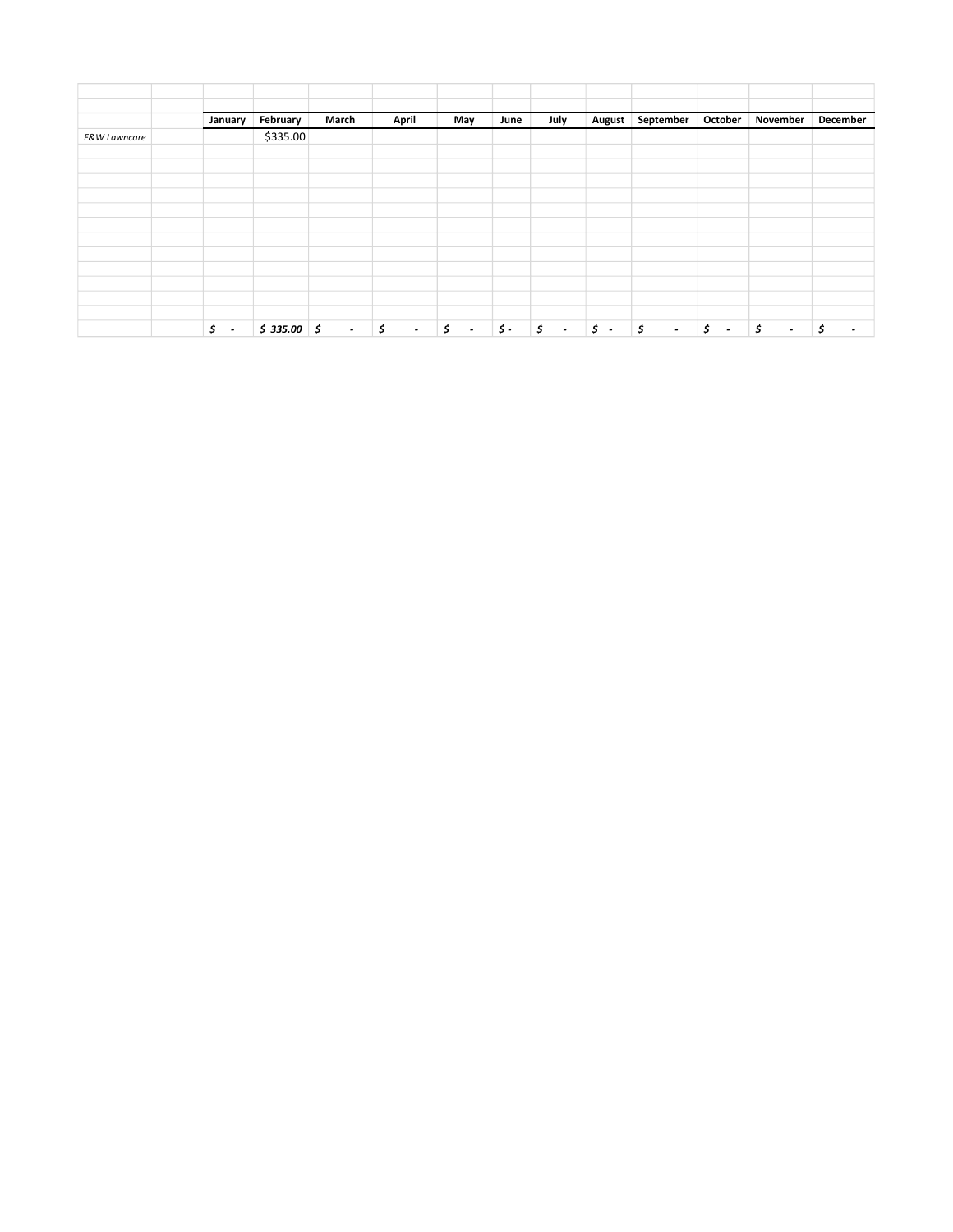|              | January                        | February     | March           | April                | May                            | June           | July                           | August           | September    | October                        | November                       | December                       |
|--------------|--------------------------------|--------------|-----------------|----------------------|--------------------------------|----------------|--------------------------------|------------------|--------------|--------------------------------|--------------------------------|--------------------------------|
| F&W Lawncare |                                | \$335.00     |                 |                      |                                |                |                                |                  |              |                                |                                |                                |
|              |                                |              |                 |                      |                                |                |                                |                  |              |                                |                                |                                |
|              |                                |              |                 |                      |                                |                |                                |                  |              |                                |                                |                                |
|              |                                |              |                 |                      |                                |                |                                |                  |              |                                |                                |                                |
|              |                                |              |                 |                      |                                |                |                                |                  |              |                                |                                |                                |
|              |                                |              |                 |                      |                                |                |                                |                  |              |                                |                                |                                |
|              |                                |              |                 |                      |                                |                |                                |                  |              |                                |                                |                                |
|              |                                |              |                 |                      |                                |                |                                |                  |              |                                |                                |                                |
|              |                                |              |                 |                      |                                |                |                                |                  |              |                                |                                |                                |
|              |                                |              |                 |                      |                                |                |                                |                  |              |                                |                                |                                |
|              |                                |              |                 |                      |                                |                |                                |                  |              |                                |                                |                                |
|              | Ś.<br>$\overline{\phantom{a}}$ | $$335.00$ \$ | $\sim 10^{-11}$ | $\vert$ \$<br>$\sim$ | \$<br>$\overline{\phantom{a}}$ | $\mathsf{S}$ - | \$<br>$\overline{\phantom{a}}$ | $\mathfrak{s}$ . | \$<br>$\sim$ | \$<br>$\overline{\phantom{a}}$ | \$<br>$\overline{\phantom{a}}$ | \$<br>$\overline{\phantom{a}}$ |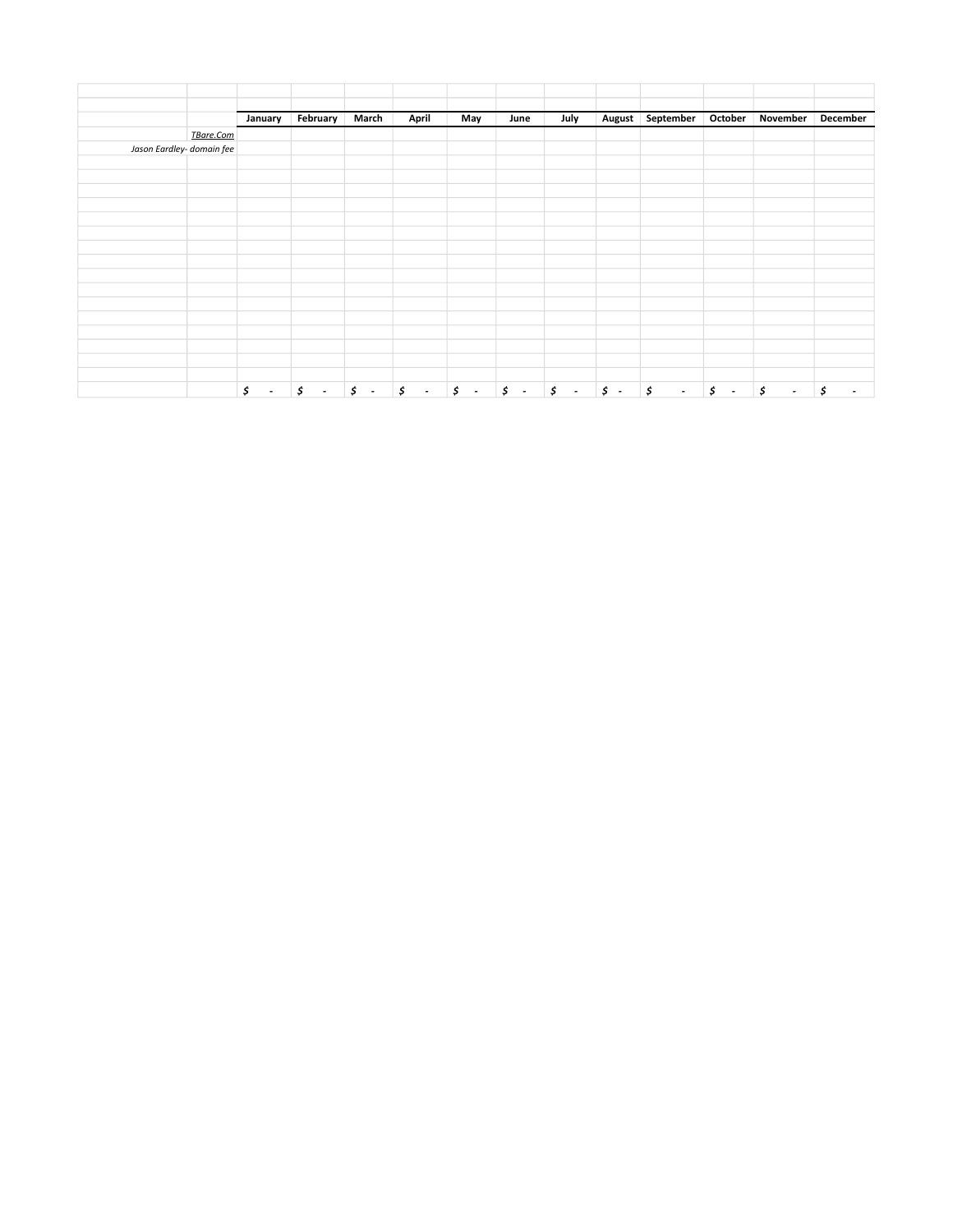|                           |           | January                          | February | March | April | May | June | July | August September | October | November            | December                 |
|---------------------------|-----------|----------------------------------|----------|-------|-------|-----|------|------|------------------|---------|---------------------|--------------------------|
|                           | TBare.Com |                                  |          |       |       |     |      |      |                  |         |                     |                          |
| Jason Eardley- domain fee |           |                                  |          |       |       |     |      |      |                  |         |                     |                          |
|                           |           |                                  |          |       |       |     |      |      |                  |         |                     |                          |
|                           |           |                                  |          |       |       |     |      |      |                  |         |                     |                          |
|                           |           |                                  |          |       |       |     |      |      |                  |         |                     |                          |
|                           |           |                                  |          |       |       |     |      |      |                  |         |                     |                          |
|                           |           |                                  |          |       |       |     |      |      |                  |         |                     |                          |
|                           |           |                                  |          |       |       |     |      |      |                  |         |                     |                          |
|                           |           |                                  |          |       |       |     |      |      |                  |         |                     |                          |
|                           |           |                                  |          |       |       |     |      |      |                  |         |                     |                          |
|                           |           |                                  |          |       |       |     |      |      |                  |         |                     |                          |
|                           |           |                                  |          |       |       |     |      |      |                  |         |                     |                          |
|                           |           |                                  |          |       |       |     |      |      |                  |         |                     |                          |
|                           |           |                                  |          |       |       |     |      |      |                  |         |                     |                          |
|                           |           |                                  |          |       |       |     |      |      |                  |         |                     |                          |
|                           |           |                                  |          |       |       |     |      |      |                  |         |                     |                          |
|                           |           |                                  |          |       |       |     |      |      |                  |         |                     |                          |
|                           |           | $\mathsf{S}$<br>$\sim$ 100 $\pm$ |          |       |       |     |      |      |                  |         | $ \sqrt{5}$<br>  \$ | $\overline{\phantom{a}}$ |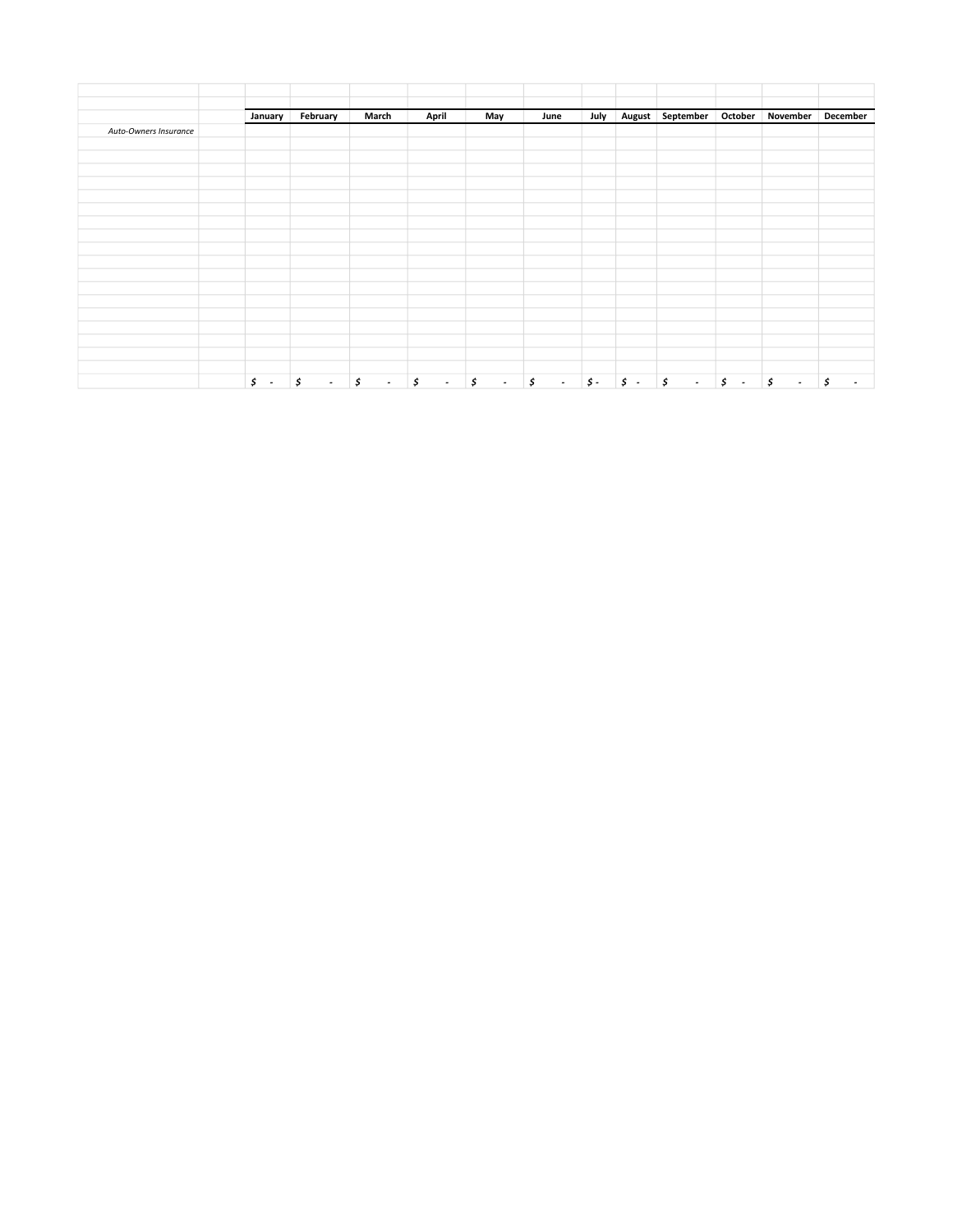|                       | January          | February     | March        | April                          | May          | June         | July       |            | August September October November |                                |              | December |
|-----------------------|------------------|--------------|--------------|--------------------------------|--------------|--------------|------------|------------|-----------------------------------|--------------------------------|--------------|----------|
| Auto-Owners Insurance |                  |              |              |                                |              |              |            |            |                                   |                                |              |          |
|                       |                  |              |              |                                |              |              |            |            |                                   |                                |              |          |
|                       |                  |              |              |                                |              |              |            |            |                                   |                                |              |          |
|                       |                  |              |              |                                |              |              |            |            |                                   |                                |              |          |
|                       |                  |              |              |                                |              |              |            |            |                                   |                                |              |          |
|                       |                  |              |              |                                |              |              |            |            |                                   |                                |              |          |
|                       |                  |              |              |                                |              |              |            |            |                                   |                                |              |          |
|                       |                  |              |              |                                |              |              |            |            |                                   |                                |              |          |
|                       |                  |              |              |                                |              |              |            |            |                                   |                                |              |          |
|                       |                  |              |              |                                |              |              |            |            |                                   |                                |              |          |
|                       |                  |              |              |                                |              |              |            |            |                                   |                                |              |          |
|                       |                  |              |              |                                |              |              |            |            |                                   |                                |              |          |
|                       |                  |              |              |                                |              |              |            |            |                                   |                                |              |          |
|                       |                  |              |              |                                |              |              |            |            |                                   |                                |              |          |
|                       |                  |              |              |                                |              |              |            |            |                                   |                                |              |          |
|                       | $\mathfrak{s}$ . | \$<br>$\sim$ | \$<br>$\sim$ | \$<br>$\overline{\phantom{a}}$ | \$<br>$\sim$ | \$<br>$\sim$ | $\sharp$ - | $\sharp$ . | \$<br>$\sim$                      | \$<br>$\overline{\phantom{a}}$ | \$<br>$\sim$ | \$       |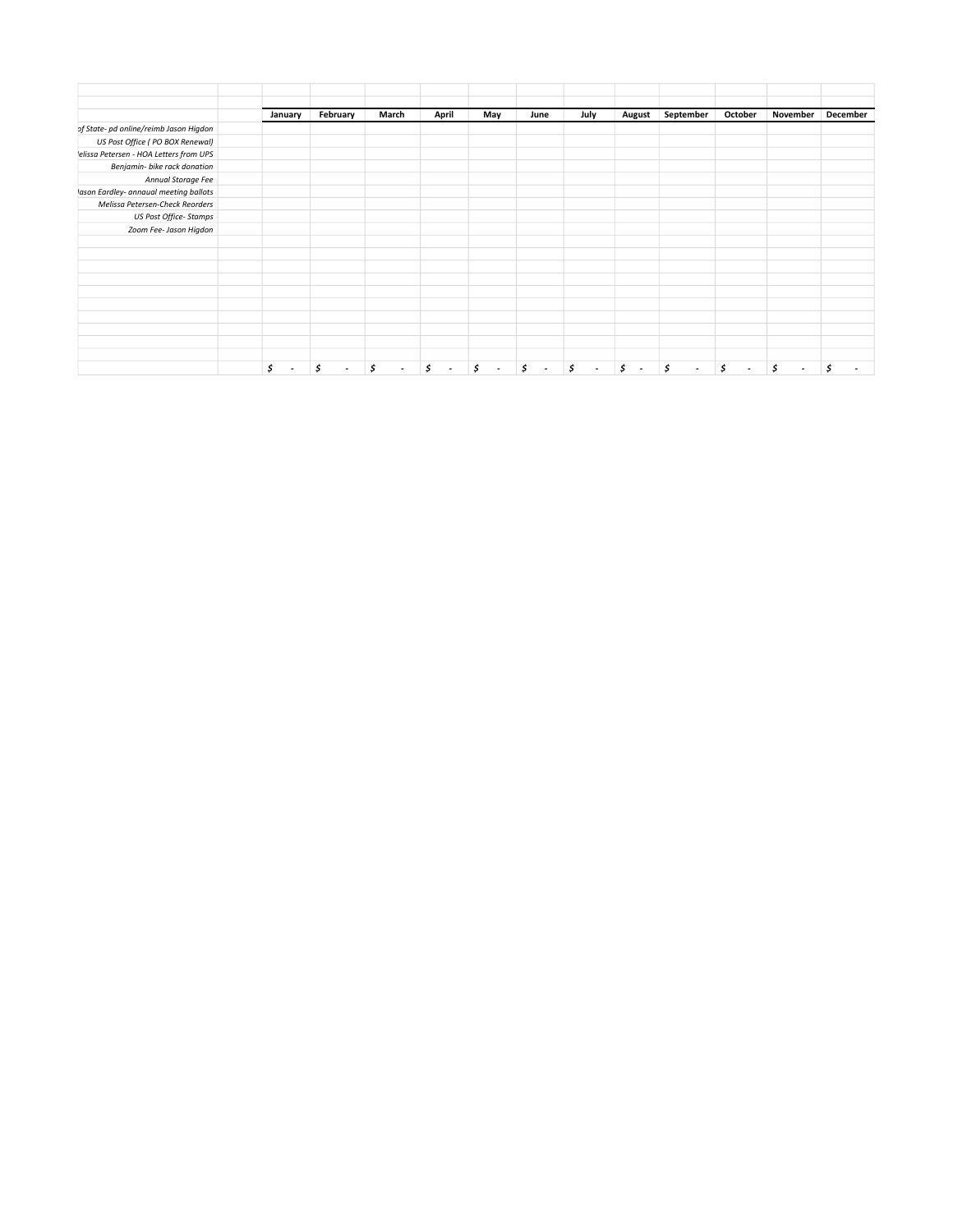|                                        | January | February | March                       | April | May | June | July | August                        | September | October                        | November | December |
|----------------------------------------|---------|----------|-----------------------------|-------|-----|------|------|-------------------------------|-----------|--------------------------------|----------|----------|
| of State- pd online/reimb Jason Higdon |         |          |                             |       |     |      |      |                               |           |                                |          |          |
| US Post Office ( PO BOX Renewal)       |         |          |                             |       |     |      |      |                               |           |                                |          |          |
| elissa Petersen - HOA Letters from UPS |         |          |                             |       |     |      |      |                               |           |                                |          |          |
| Benjamin- bike rack donation           |         |          |                             |       |     |      |      |                               |           |                                |          |          |
| Annual Storage Fee                     |         |          |                             |       |     |      |      |                               |           |                                |          |          |
| lason Eardley- annaual meeting ballots |         |          |                             |       |     |      |      |                               |           |                                |          |          |
| Melissa Petersen-Check Reorders        |         |          |                             |       |     |      |      |                               |           |                                |          |          |
| US Post Office- Stamps                 |         |          |                             |       |     |      |      |                               |           |                                |          |          |
| Zoom Fee- Jason Higdon                 |         |          |                             |       |     |      |      |                               |           |                                |          |          |
|                                        |         |          |                             |       |     |      |      |                               |           |                                |          |          |
|                                        |         |          |                             |       |     |      |      |                               |           |                                |          |          |
|                                        |         |          |                             |       |     |      |      |                               |           |                                |          |          |
|                                        |         |          |                             |       |     |      |      |                               |           |                                |          |          |
|                                        |         |          |                             |       |     |      |      |                               |           |                                |          |          |
|                                        |         |          |                             |       |     |      |      |                               |           |                                |          |          |
|                                        |         |          |                             |       |     |      |      |                               |           |                                |          |          |
|                                        |         |          |                             |       |     |      |      |                               |           |                                |          |          |
|                                        |         |          |                             |       |     |      |      |                               |           |                                |          |          |
|                                        |         |          |                             |       |     |      |      |                               |           |                                |          |          |
|                                        | \$      | \$       | \$<br>$\tilde{\phantom{a}}$ |       | \$  | \$   |      | Ś<br>$\overline{\phantom{a}}$ | \$<br>٠   | \$<br>$\overline{\phantom{a}}$ | \$       |          |